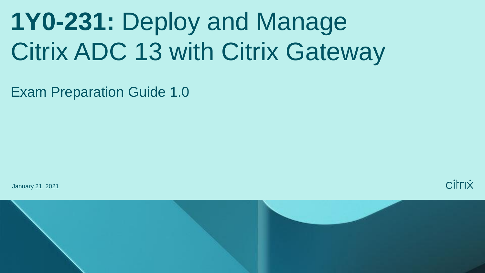# **1Y0-231:** Deploy and Manage Citrix ADC 13 with Citrix Gateway

Exam Preparation Guide 1.0

January 21, 2021



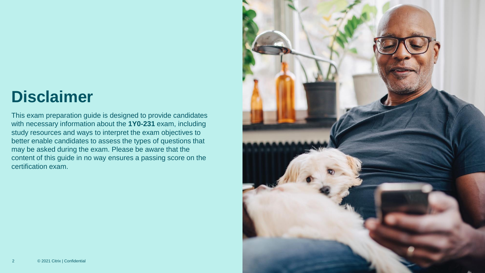# **Disclaimer**

This exam preparation guide is designed to provide candidates with necessary information about the **1Y0-231** exam, including study resources and ways to interpret the exam objectives to better enable candidates to assess the types of questions that may be asked during the exam. Please be aware that the content of this guide in no way ensures a passing score on the certification exam.

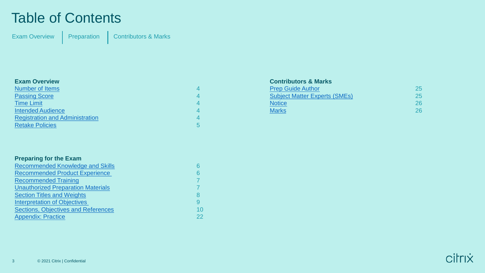### Table of Contents

[Exam Overview](#page-3-0) | [Preparation](#page-5-0) | [Contributors & Marks](#page-24-0)

#### **Exam Overview** [Number of Items](#page-3-0) 4 [Passing Score](#page-3-0) 4 and 200 million and 200 million and 200 million and 4 **[Time Limit](#page-3-0) 4** 4 **[Intended Audience](#page-3-0)** 4 **Audience** 4 **Audience** 4 **Audience** 4 **Audience** 4 **Audience** 4 **Audience** 4 **Audience** 4 **Audience** 4 **Audience** 4 **Audience** 4 **Audience** 4 **Audience** 4 **Audience** 4 **Audience** 4 **Audience** 4 **Audi** [Registration and Administration](#page-3-0) 4 **[Retake Policies](#page-4-0)** 5

| <b>Preparing for the Exam</b>              |    |
|--------------------------------------------|----|
| <b>Recommended Knowledge and Skills</b>    |    |
| <b>Recommended Product Experience</b>      |    |
| <b>Recommended Training</b>                |    |
| <b>Unauthorized Preparation Materials</b>  |    |
| <b>Section Titles and Weights</b>          |    |
| <b>Interpretation of Objectives</b>        | g  |
| <b>Sections, Objectives and References</b> | 10 |
| <b>Appendix: Practice</b>                  | 22 |

### **Contributors & Marks**

| <b>Prep Guide Author</b>             | 25 |
|--------------------------------------|----|
| <b>Subject Matter Experts (SMEs)</b> | 25 |
| <b>Notice</b>                        | 26 |
| <b>Marks</b>                         | 26 |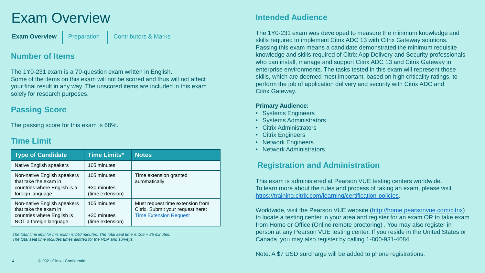# <span id="page-3-0"></span>Exam Overview

**[Exam Overview](#page-3-0)** | [Preparation](#page-5-0) | [Contributors & Marks](#page-24-0)

### **Number of Items**

The 1Y0-231 exam is a 70-question exam written in English. Some of the items on this exam will not be scored and thus will not affect your final result in any way. The unscored items are included in this exam solely for research purposes.

### **Passing Score**

The passing score for this exam is 68%.

### **Time Limit**

| <b>Type of Candidate</b>                                                                                     | <b>Time Limits*</b>                            | <b>Notes</b>                                                                                           |
|--------------------------------------------------------------------------------------------------------------|------------------------------------------------|--------------------------------------------------------------------------------------------------------|
| Native English speakers                                                                                      | 105 minutes                                    |                                                                                                        |
| Non-native English speakers<br>that take the exam in<br>countries where English is a<br>foreign language     | 105 minutes<br>+30 minutes<br>(time extension) | Time extension granted<br>automatically                                                                |
| Non-native English speakers<br>that take the exam in<br>countries where English is<br>NOT a foreign language | 105 minutes<br>+30 minutes<br>(time extension) | Must request time extension from<br>Citrix. Submit your request here:<br><b>Time Extension Request</b> |

*The total time limit for this exam is 140 minutes. The total seat time is 105 + 35 minutes. The total seat time includes times allotted for the NDA and surveys.* 

### **Intended Audience**

The 1Y0-231 exam was developed to measure the minimum knowledge and skills required to implement Citrix ADC 13 with Citrix Gateway solutions. Passing this exam means a candidate demonstrated the minimum requisite knowledge and skills required of Citrix App Delivery and Security professionals who can install, manage and support Citrix ADC 13 and Citrix Gateway in enterprise environments. The tasks tested in this exam will represent those skills, which are deemed most important, based on high criticality ratings, to perform the job of application delivery and security with Citrix ADC and Citrix Gateway.

#### **Primary Audience:**

- Systems Engineers
- Systems Administrators
- Citrix Administrators
- Citrix Engineers
- Network Engineers
- Network Administrators

### **Registration and Administration**

This exam is administered at Pearson VUE testing centers worldwide. To learn more about the rules and process of taking an exam, please visit <https://training.citrix.com/learning/certification-policies>.

Worldwide, visit the Pearson VUE website [\(http://home.pearsonvue.com/citrix](http://home.pearsonvue.com/citrix)) to locate a testing center in your area and register for an exam OR to take exam from Home or Office (Online remote proctoring) . You may also register in person at any Pearson VUE testing center. If you reside in the United States or Canada, you may also register by calling 1-800-931-4084.

Note: A \$7 USD surcharge will be added to phone registrations.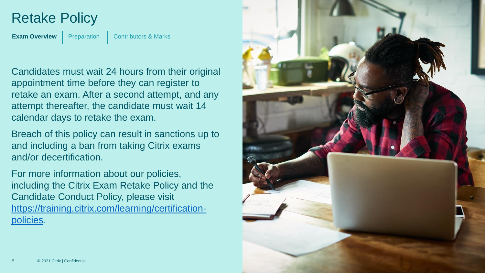## <span id="page-4-0"></span>Retake Policy

**[Exam Overview](#page-3-0)** [Preparation](#page-5-0) | [Contributors & Marks](#page-24-0)

Candidates must wait 24 hours from their original appointment time before they can register to retake an exam. After a second attempt, and any attempt thereafter, the candidate must wait 14 calendar days to retake the exam.

Breach of this policy can result in sanctions up to and including a ban from taking Citrix exams and/or decertification.

For more information about our policies, including the Citrix Exam Retake Policy and the Candidate Conduct Policy, please visit [https://training.citrix.com/learning/certification](https://training.citrix.com/learning/certification-policies) policies.

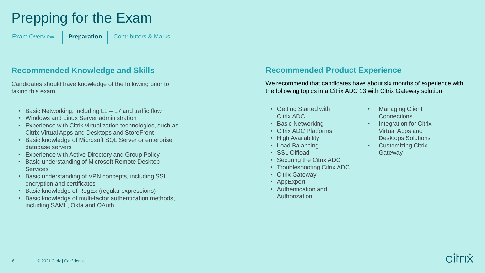# <span id="page-5-0"></span>Prepping for the Exam

[Exam Overview](#page-3-0) **[Preparation](#page-5-0)** [Contributors & Marks](#page-24-0)

### **Recommended Knowledge and Skills**

Candidates should have knowledge of the following prior to taking this exam:

- Basic Networking, including L1 L7 and traffic flow
- Windows and Linux Server administration
- Experience with Citrix virtualization technologies, such as Citrix Virtual Apps and Desktops and StoreFront
- Basic knowledge of Microsoft SQL Server or enterprise database servers
- Experience with Active Directory and Group Policy
- Basic understanding of Microsoft Remote Desktop **Services**
- Basic understanding of VPN concepts, including SSL encryption and certificates
- Basic knowledge of RegEx (regular expressions)
- Basic knowledge of multi-factor authentication methods, including SAML, Okta and OAuth

### **Recommended Product Experience**

We recommend that candidates have about six months of experience with the following topics in a Citrix ADC 13 with Citrix Gateway solution:

- Getting Started with Citrix ADC
- Basic Networking
- Citrix ADC Platforms
- High Availability
- Load Balancing
- SSL Offload
- Securing the Citrix ADC
- Troubleshooting Citrix ADC
- Citrix Gateway
- AppExpert
- Authentication and Authorization
- **Managing Client Connections**
- Integration for Citrix Virtual Apps and Desktops Solutions
- Customizing Citrix **Gateway**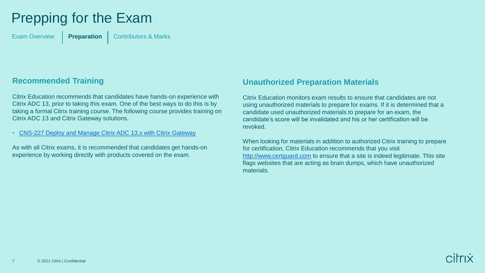# <span id="page-6-0"></span>Prepping for the Exam

[Exam Overview](#page-3-0) **[Preparation](#page-5-0)** [Contributors & Marks](#page-24-0)

### **Recommended Training**

Citrix Education recommends that candidates have hands-on experience with Citrix ADC 13, prior to taking this exam. One of the best ways to do this is by taking a formal Citrix training course. The following course provides training on Citrix ADC 13 and Citrix Gateway solutions.

• [CNS-227 Deploy and Manage Citrix ADC 13.x with Citrix Gateway](https://training.citrix.com/learning/course?courseId=2111)

As with all Citrix exams, it is recommended that candidates get hands-on experience by working directly with products covered on the exam.

### **Unauthorized Preparation Materials**

Citrix Education monitors exam results to ensure that candidates are not using unauthorized materials to prepare for exams. If it is determined that a candidate used unauthorized materials to prepare for an exam, the candidate's score will be invalidated and his or her certification will be revoked.

When looking for materials in addition to authorized Citrix training to prepare for certification, Citrix Education recommends that you visit <http://www.certguard.com> to ensure that a site is indeed legitimate. This site flags websites that are acting as brain dumps, which have unauthorized materials.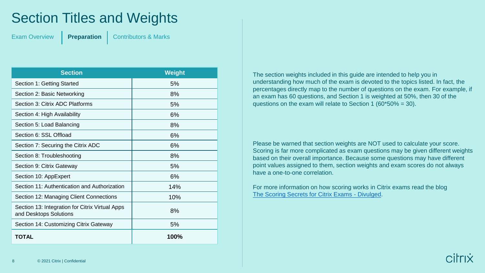# <span id="page-7-0"></span>Section Titles and Weights

[Exam Overview](#page-3-0) **[Preparation](#page-5-0)** [Contributors & Marks](#page-24-0)

| <b>Section</b>                                                            | <b>Weight</b> |
|---------------------------------------------------------------------------|---------------|
| Section 1: Getting Started                                                | 5%            |
| Section 2: Basic Networking                                               | 8%            |
| Section 3: Citrix ADC Platforms                                           | 5%            |
| Section 4: High Availability                                              | 6%            |
| Section 5: Load Balancing                                                 | 8%            |
| Section 6: SSL Offload                                                    | 6%            |
| Section 7: Securing the Citrix ADC                                        | 6%            |
| Section 8: Troubleshooting                                                | 8%            |
| Section 9: Citrix Gateway                                                 | 5%            |
| Section 10: AppExpert                                                     | 6%            |
| Section 11: Authentication and Authorization                              | 14%           |
| Section 12: Managing Client Connections                                   | 10%           |
| Section 13: Integration for Citrix Virtual Apps<br>and Desktops Solutions | 8%            |
| Section 14: Customizing Citrix Gateway                                    | 5%            |
| TOTAL                                                                     | 100%          |

The section weights included in this guide are intended to help you in understanding how much of the exam is devoted to the topics listed. In fact, the percentages directly map to the number of questions on the exam. For example, if an exam has 60 questions, and Section 1 is weighted at 50%, then 30 of the questions on the exam will relate to Section 1 (60\*50% = 30).

Please be warned that section weights are NOT used to calculate your score. Scoring is far more complicated as exam questions may be given different weights based on their overall importance. Because some questions may have different point values assigned to them, section weights and exam scores do not always have a one-to-one correlation.

For more information on how scoring works in Citrix exams read the blog [The Scoring Secrets for Citrix Exams -](https://www.citrix.com/blogs/2009/08/25/the-scoring-secrets-for-citrix-exams-divulged/) Divulged.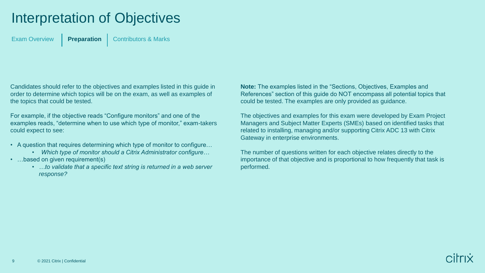# <span id="page-8-0"></span>Interpretation of Objectives

[Exam Overview](#page-3-0) **[Preparation](#page-5-0)** [Contributors & Marks](#page-24-0)

Candidates should refer to the objectives and examples listed in this guide in order to determine which topics will be on the exam, as well as examples of the topics that could be tested.

For example, if the objective reads "Configure monitors" and one of the examples reads, "determine when to use which type of monitor," exam-takers could expect to see:

- A question that requires determining which type of monitor to configure...
	- *Which type of monitor should a Citrix Administrator configure…*
- …based on given requirement(s)
	- *…to validate that a specific text string is returned in a web server response?*

**Note:** The examples listed in the "Sections, Objectives, Examples and References" section of this guide do NOT encompass all potential topics that could be tested. The examples are only provided as guidance.

The objectives and examples for this exam were developed by Exam Project Managers and Subject Matter Experts (SMEs) based on identified tasks that related to installing, managing and/or supporting Citrix ADC 13 with Citrix Gateway in enterprise environments.

The number of questions written for each objective relates directly to the importance of that objective and is proportional to how frequently that task is performed.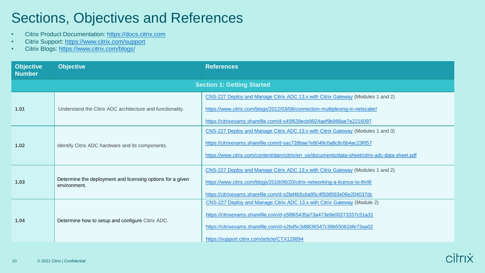# <span id="page-9-0"></span>Sections, Objectives and References

- Citrix Product Documentation: [https://docs.citrix.com](http://docs.citrix.com/)
- Citrix Support: <https://www.citrix.com/support>
- Citrix Blogs: <https://www.citrix.com/blogs/>

| <b>Objective</b><br><b>Number</b> | <b>Objective</b>                                                           | <b>References</b>                                                                                                                                                                                                                                                          |
|-----------------------------------|----------------------------------------------------------------------------|----------------------------------------------------------------------------------------------------------------------------------------------------------------------------------------------------------------------------------------------------------------------------|
|                                   |                                                                            | <b>Section 1: Getting Started</b>                                                                                                                                                                                                                                          |
| 1.01                              | Understand the Citrix ADC architecture and functionality.                  | CNS-227 Deploy and Manage Citrix ADC 13.x with Citrix Gateway (Modules 1 and 2)<br>https://www.citrix.com/blogs/2012/03/08/connection-multiplexing-in-netscaler/<br>https://citrixexams.sharefile.com/d-s45f639ecb9924aef9b988ae7e2216097                                  |
| 1.02                              | Identify Citrix ADC hardware and its components.                           | CNS-227 Deploy and Manage Citrix ADC 13.x with Citrix Gateway (Modules 1 and 3)<br>https://citrixexams.sharefile.com/d-sac728bae7e8049c0a8c8c6b4ac23f057<br>https://www.citrix.com/content/dam/citrix/en_us/documents/data-sheet/citrix-adc-data-sheet.pdf                 |
| 1.03                              | Determine the deployment and licensing options for a given<br>environment. | CNS-227 Deploy and Manage Citrix ADC 13.x with Citrix Gateway (Modules 1 and 2)<br>https://www.citrix.com/blogs/2018/06/20/citrix-networking-a-licence-to-thrill/<br>https://citrixexams.sharefile.com/d-s2bd4b5cba95c4f508563e06e204037dc                                 |
| 1.04                              | Determine how to setup and configure Citrix ADC.                           | CNS-227 Deploy and Manage Citrix ADC 13.x with Citrix Gateway (Module 2)<br>https://citrixexams.sharefile.com/d-s5f865435a73a473e9e00273337c51a31<br>https://citrixexams.sharefile.com/d-s2bd5c3d8836547c39b55061bfe73aa02<br>https://support.citrix.com/article/CTX128894 |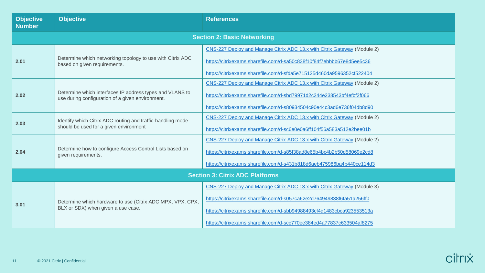| <b>Objective</b><br><b>Number</b>      | <b>Objective</b>                                                                                             | <b>References</b>                                                                                                                                                                                                                                                                                   |
|----------------------------------------|--------------------------------------------------------------------------------------------------------------|-----------------------------------------------------------------------------------------------------------------------------------------------------------------------------------------------------------------------------------------------------------------------------------------------------|
|                                        |                                                                                                              | <b>Section 2: Basic Networking</b>                                                                                                                                                                                                                                                                  |
| 2.01                                   | Determine which networking topology to use with Citrix ADC<br>based on given requirements.                   | CNS-227 Deploy and Manage Citrix ADC 13.x with Citrix Gateway (Module 2)<br>https://citrixexams.sharefile.com/d-sa50c838f10f84f7ebbbb67e8d5ee5c36<br>https://citrixexams.sharefile.com/d-sfda5e715125d460da9596352cf522404                                                                          |
| 2.02                                   | Determine which interfaces IP address types and VLANS to<br>use during configuration of a given environment. | CNS-227 Deploy and Manage Citrix ADC 13.x with Citrix Gateway (Module 2)<br>https://citrixexams.sharefile.com/d-sbd79971d2c244e238543bf4efbf2f066<br>https://citrixexams.sharefile.com/d-s80934504c90e44c3ad6e736f04db8d90                                                                          |
| 2.03                                   | Identify which Citrix ADC routing and traffic-handling mode<br>should be used for a given environment        | CNS-227 Deploy and Manage Citrix ADC 13.x with Citrix Gateway (Module 2)<br>https://citrixexams.sharefile.com/d-sc6e0e0a6ff104f56a583a512e2bee01b                                                                                                                                                   |
| 2.04                                   | Determine how to configure Access Control Lists based on<br>given requirements.                              | CNS-227 Deploy and Manage Citrix ADC 13.x with Citrix Gateway (Module 2)<br>https://citrixexams.sharefile.com/d-s85f38ad8e65b4bc4b2b50d58069e2cd8<br>https://citrixexams.sharefile.com/d-s431b818d6aeb475986ba4b440ce114d3                                                                          |
| <b>Section 3: Citrix ADC Platforms</b> |                                                                                                              |                                                                                                                                                                                                                                                                                                     |
| 3.01                                   | Determine which hardware to use (Citrix ADC MPX, VPX, CPX,<br>BLX or SDX) when given a use case.             | CNS-227 Deploy and Manage Citrix ADC 13.x with Citrix Gateway (Module 3)<br>https://citrixexams.sharefile.com/d-s057ca62e2d764949838f6fa51a256ff0<br>https://citrixexams.sharefile.com/d-sbb94988493cf4d1483cbca923553513a<br>https://citrixexams.sharefile.com/d-scc770ee384ed4a77837c633504af8275 |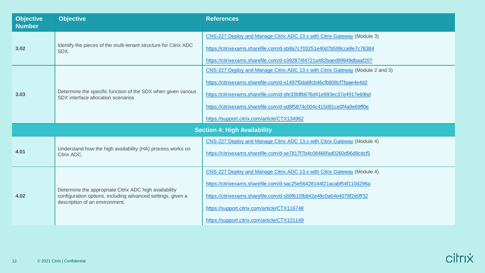| <b>Objective</b><br><b>Number</b> | <b>Objective</b>                                                                                                                                        | <b>References</b>                                                                                                                                                                                                                                                                                                                                         |  |
|-----------------------------------|---------------------------------------------------------------------------------------------------------------------------------------------------------|-----------------------------------------------------------------------------------------------------------------------------------------------------------------------------------------------------------------------------------------------------------------------------------------------------------------------------------------------------------|--|
| 3.02                              | Identify the pieces of the multi-tenant structure for Citrix ADC<br>SDX.                                                                                | CNS-227 Deploy and Manage Citrix ADC 13.x with Citrix Gateway (Module 3)<br>https://citrixexams.sharefile.com/d-sb8a7c703251e40d7b599cce8e7c78384<br>https://citrixexams.sharefile.com/d-s392874f4721a482baed99949dbaaf207                                                                                                                                |  |
| 3.03                              | Determine the specific function of the SDX when given various<br>SDX interface allocation scenarios                                                     | CNS-227 Deploy and Manage Citrix ADC 13.x with Citrix Gateway (Module 2 and 3)<br>https://citrixexams.sharefile.com/d-s1497f0da6fcb46cfb808cf7faae4e4d2<br>https://citrixexams.sharefile.com/d-sfe33fdfb676d41e693ec37e4917e69bd<br>https://citrixexams.sharefile.com/d-sd8f5874c004c415d81ce0f4a9e69ff0e<br>https://support.citrix.com/article/CTX134962 |  |
|                                   | <b>Section 4: High Availability</b>                                                                                                                     |                                                                                                                                                                                                                                                                                                                                                           |  |
| 4.01                              | Understand how the high availability (HA) process works on<br>Citrix ADC.                                                                               | CNS-227 Deploy and Manage Citrix ADC 13.x with Citrix Gateway (Module 4)<br>https://citrixexams.sharefile.com/d-se7817f7b4c08466fad0260d96d8cdcf5                                                                                                                                                                                                         |  |
| 4.02                              | Determine the appropriate Citrix ADC high availability<br>configuration options, including advanced settings, given a<br>description of an environment. | CNS-227 Deploy and Manage Citrix ADC 13.x with Citrix Gateway (Module 4)<br>https://citrixexams.sharefile.com/d-sac25e56428144f21acabf54f110d296a<br>https://citrixexams.sharefile.com/d-sb9f615fb842e48c0a64e4078f2e0ff32<br>https://support.citrix.com/article/CTX116748<br>https://support.citrix.com/article/CTX121149                                |  |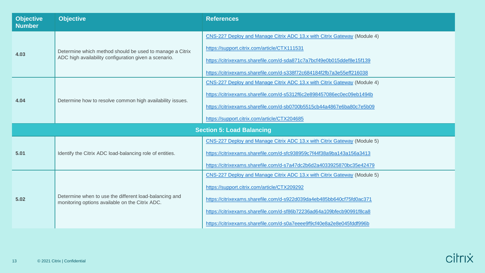| <b>Objective</b><br><b>Number</b> | <b>Objective</b>                                                                                                  | <b>References</b>                                                                                                                                                                                                                                                                                                                                   |
|-----------------------------------|-------------------------------------------------------------------------------------------------------------------|-----------------------------------------------------------------------------------------------------------------------------------------------------------------------------------------------------------------------------------------------------------------------------------------------------------------------------------------------------|
| 4.03                              | Determine which method should be used to manage a Citrix<br>ADC high availability configuration given a scenario. | CNS-227 Deploy and Manage Citrix ADC 13.x with Citrix Gateway (Module 4)<br>https://support.citrix.com/article/CTX111531<br>https://citrixexams.sharefile.com/d-sda871c7a7bcf49e0b015ddef8e15f139<br>https://citrixexams.sharefile.com/d-s338f72c684184f2fb7a3e55eff216038                                                                          |
| 4.04                              | Determine how to resolve common high availability issues.                                                         | CNS-227 Deploy and Manage Citrix ADC 13.x with Citrix Gateway (Module 4)<br>https://citrixexams.sharefile.com/d-s5312f6c2e898457086ec0ec09eb1494b<br>https://citrixexams.sharefile.com/d-sb0700b5515cb44a4867e6ba80c7e5b09<br>https://support.citrix.com/article/CTX204685                                                                          |
|                                   |                                                                                                                   | <b>Section 5: Load Balancing</b>                                                                                                                                                                                                                                                                                                                    |
| 5.01                              | Identify the Citrix ADC load-balancing role of entities.                                                          | CNS-227 Deploy and Manage Citrix ADC 13.x with Citrix Gateway (Module 5)<br>https://citrixexams.sharefile.com/d-sfc938959c7f44f38a9ba143a156a3413<br>https://citrixexams.sharefile.com/d-s7a47dc2b6d2a4033925870bc35e42479                                                                                                                          |
| 5.02                              | Determine when to use the different load-balancing and<br>monitoring options available on the Citrix ADC.         | CNS-227 Deploy and Manage Citrix ADC 13.x with Citrix Gateway (Module 5)<br>https://support.citrix.com/article/CTX209292<br>https://citrixexams.sharefile.com/d-s922d039da4eb485bb640cf75fd0ac371<br>https://citrixexams.sharefile.com/d-sf86b72236ad64a109bfecb90991f8ca8<br>https://citrixexams.sharefile.com/d-s0a7eeee9f9cf40e8a2e8e045fddf996b |

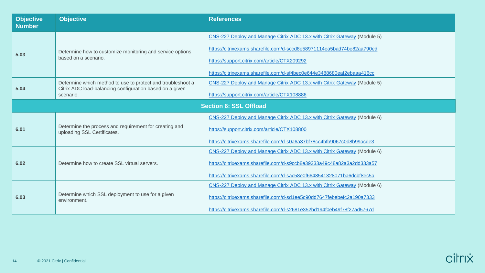| <b>Objective</b><br><b>Number</b> | <b>Objective</b>                                                                      | <b>References</b>                                                        |
|-----------------------------------|---------------------------------------------------------------------------------------|--------------------------------------------------------------------------|
|                                   |                                                                                       | CNS-227 Deploy and Manage Citrix ADC 13.x with Citrix Gateway (Module 5) |
|                                   | Determine how to customize monitoring and service options<br>based on a scenario.     | https://citrixexams.sharefile.com/d-sccd8e58971114ea5bad74be82aa790ed    |
| 5.03                              |                                                                                       | https://support.citrix.com/article/CTX209292                             |
|                                   |                                                                                       | https://citrixexams.sharefile.com/d-sf4bec0e644e3488680eaf2ebaaa416cc    |
| 5.04                              | Determine which method to use to protect and troubleshoot a                           | CNS-227 Deploy and Manage Citrix ADC 13.x with Citrix Gateway (Module 5) |
|                                   | Citrix ADC load-balancing configuration based on a given<br>scenario.                 | https://support.citrix.com/article/CTX108886                             |
|                                   |                                                                                       | <b>Section 6: SSL Offload</b>                                            |
|                                   |                                                                                       | CNS-227 Deploy and Manage Citrix ADC 13.x with Citrix Gateway (Module 6) |
| 6.01                              | Determine the process and requirement for creating and<br>uploading SSL Certificates. | https://support.citrix.com/article/CTX108800                             |
|                                   |                                                                                       | https://citrixexams.sharefile.com/d-s0a6a37bf78cc4bfb9067c0d8b99acde3    |
|                                   |                                                                                       | CNS-227 Deploy and Manage Citrix ADC 13.x with Citrix Gateway (Module 6) |
| 6.02                              | Determine how to create SSL virtual servers.                                          | https://citrixexams.sharefile.com/d-s9ccb8e39333a49c48a82a3a2dd333a57    |
|                                   |                                                                                       | https://citrixexams.sharefile.com/d-sac58e0f6648541328071ba6dcbf8ec5a    |
|                                   |                                                                                       | CNS-227 Deploy and Manage Citrix ADC 13.x with Citrix Gateway (Module 6) |
| 6.03                              | Determine which SSL deployment to use for a given<br>environment.                     | https://citrixexams.sharefile.com/d-sd1ee5c90dd7647febebefc2a190a7333    |
|                                   |                                                                                       | https://citrixexams.sharefile.com/d-s2681e352bd194f0eb49f78f27ad5767d    |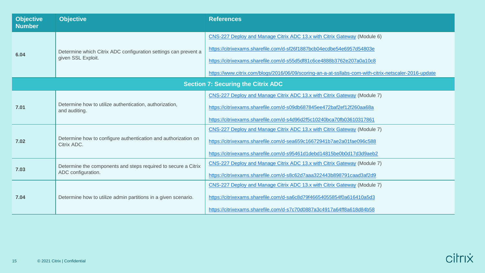| <b>Objective</b><br><b>Number</b> | <b>Objective</b>                                                                      | <b>References</b>                                                                                     |
|-----------------------------------|---------------------------------------------------------------------------------------|-------------------------------------------------------------------------------------------------------|
|                                   | Determine which Citrix ADC configuration settings can prevent a<br>given SSL Exploit. | CNS-227 Deploy and Manage Citrix ADC 13.x with Citrix Gateway (Module 6)                              |
|                                   |                                                                                       | https://citrixexams.sharefile.com/d-sf26f1887bcb04ecdbe54e6957d54803e                                 |
| 6.04                              |                                                                                       | https://citrixexams.sharefile.com/d-s55d5df81c6ce4888b3762e207a0a10c8                                 |
|                                   |                                                                                       | https://www.citrix.com/blogs/2016/06/09/scoring-an-a-at-ssllabs-com-with-citrix-netscaler-2016-update |
|                                   |                                                                                       | <b>Section 7: Securing the Citrix ADC</b>                                                             |
|                                   | Determine how to utilize authentication, authorization,<br>and auditing.              | CNS-227 Deploy and Manage Citrix ADC 13.x with Citrix Gateway (Module 7)                              |
| 7.01                              |                                                                                       | https://citrixexams.sharefile.com/d-s09db687845ee472baf2ef12f260aa68a                                 |
|                                   |                                                                                       | https://citrixexams.sharefile.com/d-s4d96d2f5c10240bca70fb03610317861                                 |
|                                   | Determine how to configure authentication and authorization on<br>Citrix ADC.         | CNS-227 Deploy and Manage Citrix ADC 13.x with Citrix Gateway (Module 7)                              |
| 7.02                              |                                                                                       | https://citrixexams.sharefile.com/d-sea659c16672941b7ae2a01fae096c588                                 |
|                                   |                                                                                       | https://citrixexams.sharefile.com/d-s95461d1debd14815be0b0d17d3d9aeb2                                 |
| 7.03                              | Determine the components and steps required to secure a Citrix                        | CNS-227 Deploy and Manage Citrix ADC 13.x with Citrix Gateway (Module 7)                              |
|                                   | ADC configuration.                                                                    | https://citrixexams.sharefile.com/d-s8c62d7aaa322443b898791caad3af2d9                                 |
|                                   |                                                                                       | CNS-227 Deploy and Manage Citrix ADC 13.x with Citrix Gateway (Module 7)                              |
| 7.04                              | Determine how to utilize admin partitions in a given scenario.                        | https://citrixexams.sharefile.com/d-sa6c8d79f46654055854f0a616410a5d3                                 |
|                                   |                                                                                       | https://citrixexams.sharefile.com/d-s7c70d0887a3c4917a64ff8a618d84b58                                 |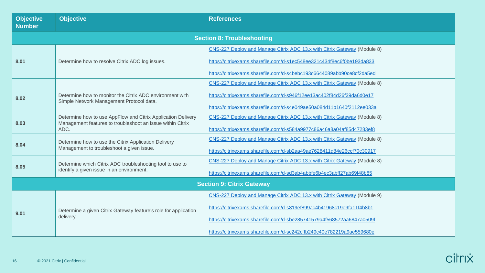| <b>Objective</b><br><b>Number</b> | <b>Objective</b>                                                                                                                   | <b>References</b>                                                                                                                                                                                                                                                                                   |
|-----------------------------------|------------------------------------------------------------------------------------------------------------------------------------|-----------------------------------------------------------------------------------------------------------------------------------------------------------------------------------------------------------------------------------------------------------------------------------------------------|
|                                   |                                                                                                                                    | <b>Section 8: Troubleshooting</b>                                                                                                                                                                                                                                                                   |
| 8.01                              | Determine how to resolve Citrix ADC log issues.                                                                                    | CNS-227 Deploy and Manage Citrix ADC 13.x with Citrix Gateway (Module 8)<br>https://citrixexams.sharefile.com/d-s1ec548ee321c434f8ec6f0be193da833<br>https://citrixexams.sharefile.com/d-s4bebc193c6644089abb90ce8cf2da5ed                                                                          |
| 8.02                              | Determine how to monitor the Citrix ADC environment with<br>Simple Network Management Protocol data.                               | CNS-227 Deploy and Manage Citrix ADC 13.x with Citrix Gateway (Module 8)<br>https://citrixexams.sharefile.com/d-s946f12ee13ac402f84d26f39da6d0e17<br>https://citrixexams.sharefile.com/d-s4e049ae50a084d11b1640f2112ee033a                                                                          |
| 8.03                              | Determine how to use AppFlow and Citrix Application Delivery<br>Management features to troubleshoot an issue within Citrix<br>ADC. | CNS-227 Deploy and Manage Citrix ADC 13.x with Citrix Gateway (Module 8)<br>https://citrixexams.sharefile.com/d-s584a9977c86a46a8a04af85d47283ef8                                                                                                                                                   |
| 8.04                              | Determine how to use the Citrix Application Delivery<br>Management to troubleshoot a given issue.                                  | CNS-227 Deploy and Manage Citrix ADC 13.x with Citrix Gateway (Module 8)<br>https://citrixexams.sharefile.com/d-sb2aa49ae7628411d84e26ccf70c30917                                                                                                                                                   |
| 8.05                              | Determine which Citrix ADC troubleshooting tool to use to<br>identify a given issue in an environment.                             | CNS-227 Deploy and Manage Citrix ADC 13.x with Citrix Gateway (Module 8)<br>https://citrixexams.sharefile.com/d-sd3ab4abbfe6b4ec3abff27ab69f48b85                                                                                                                                                   |
| <b>Section 9: Citrix Gateway</b>  |                                                                                                                                    |                                                                                                                                                                                                                                                                                                     |
| 9.01                              | Determine a given Citrix Gateway feature's role for application<br>delivery.                                                       | CNS-227 Deploy and Manage Citrix ADC 13.x with Citrix Gateway (Module 9)<br>https://citrixexams.sharefile.com/d-s819ef899ac4b41968c19e9fa11f4b8b1<br>https://citrixexams.sharefile.com/d-sbe285741579a4f568572aa6847a0509f<br>https://citrixexams.sharefile.com/d-sc242cffb249c40e782219a9ae559680e |

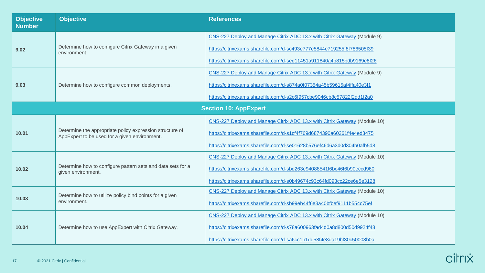| <b>Objective</b><br><b>Number</b> | <b>Objective</b>                                                                                          | <b>References</b>                                                         |
|-----------------------------------|-----------------------------------------------------------------------------------------------------------|---------------------------------------------------------------------------|
|                                   |                                                                                                           | CNS-227 Deploy and Manage Citrix ADC 13.x with Citrix Gateway (Module 9)  |
| 9.02                              | Determine how to configure Citrix Gateway in a given<br>environment.                                      | https://citrixexams.sharefile.com/d-sc493e777e5844e719255f8f786505f39     |
|                                   |                                                                                                           | https://citrixexams.sharefile.com/d-sed11451a911840a4b815bdb9169e8f26     |
|                                   |                                                                                                           | CNS-227 Deploy and Manage Citrix ADC 13.x with Citrix Gateway (Module 9)  |
| 9.03                              | Determine how to configure common deployments.                                                            | https://citrixexams.sharefile.com/d-s874a0f07354a45b59615af4ffa40e3f1     |
|                                   |                                                                                                           | https://citrixexams.sharefile.com/d-s2c6f957cbe9046cb8c57822f2dd1f2a0     |
|                                   |                                                                                                           | <b>Section 10: AppExpert</b>                                              |
|                                   | Determine the appropriate policy expression structure of<br>AppExpert to be used for a given environment. | CNS-227 Deploy and Manage Citrix ADC 13.x with Citrix Gateway (Module 10) |
| 10.01                             |                                                                                                           | https://citrixexams.sharefile.com/d-s1cf4f769d6874390a60361f4e4ed3475     |
|                                   |                                                                                                           | https://citrixexams.sharefile.com/d-se01628b576ef46d6a3d0d304b0afb5d8     |
|                                   |                                                                                                           | CNS-227 Deploy and Manage Citrix ADC 13.x with Citrix Gateway (Module 10) |
| 10.02                             | Determine how to configure pattern sets and data sets for a<br>given environment.                         | https://citrixexams.sharefile.com/d-sbd263e94088541f6bc46f6b90eccd960     |
|                                   |                                                                                                           | https://citrixexams.sharefile.com/d-s0b49674c93c64fd093cc22ce6e5e3128     |
|                                   | Determine how to utilize policy bind points for a given<br>environment.                                   | CNS-227 Deploy and Manage Citrix ADC 13.x with Citrix Gateway (Module 10) |
| 10.03                             |                                                                                                           | https://citrixexams.sharefile.com/d-sb99eb44f6e3a40bfbef9111b554c75ef     |
|                                   | Determine how to use AppExpert with Citrix Gateway.                                                       | CNS-227 Deploy and Manage Citrix ADC 13.x with Citrix Gateway (Module 10) |
| 10.04                             |                                                                                                           | https://citrixexams.sharefile.com/d-s78a600963fad4d0a8d800d50d9924f48     |
|                                   |                                                                                                           | https://citrixexams.sharefile.com/d-sa6cc1b1dd58f4e8da19bf30c50008b0a     |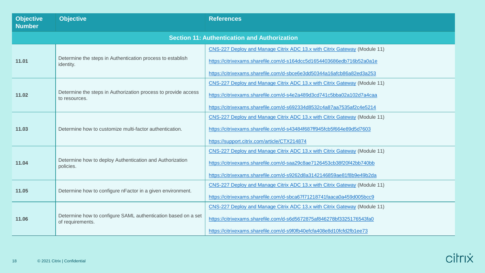| <b>Objective</b><br><b>Number</b>                   | <b>Objective</b>                                                                                                                                                                                                                                                                                     | <b>References</b>                                                                                                                                                                                                           |  |  |
|-----------------------------------------------------|------------------------------------------------------------------------------------------------------------------------------------------------------------------------------------------------------------------------------------------------------------------------------------------------------|-----------------------------------------------------------------------------------------------------------------------------------------------------------------------------------------------------------------------------|--|--|
| <b>Section 11: Authentication and Authorization</b> |                                                                                                                                                                                                                                                                                                      |                                                                                                                                                                                                                             |  |  |
| 11.01                                               | Determine the steps in Authentication process to establish<br>identity.                                                                                                                                                                                                                              | CNS-227 Deploy and Manage Citrix ADC 13.x with Citrix Gateway (Module 11)<br>https://citrixexams.sharefile.com/d-s164dcc5d1654403686edb716b52a0a1e<br>https://citrixexams.sharefile.com/d-sbce6e3dd50344a16afcb86a82ed3a253 |  |  |
| 11.02                                               | Determine the steps in Authorization process to provide access<br>to resources.                                                                                                                                                                                                                      | CNS-227 Deploy and Manage Citrix ADC 13.x with Citrix Gateway (Module 11)<br>https://citrixexams.sharefile.com/d-s4e2a489d3cd741c5bba02a102d7a4caa<br>https://citrixexams.sharefile.com/d-s692334d8532c4a87aa7535af2c4e5214 |  |  |
| 11.03                                               | Determine how to customize multi-factor authentication.                                                                                                                                                                                                                                              | CNS-227 Deploy and Manage Citrix ADC 13.x with Citrix Gateway (Module 11)<br>https://citrixexams.sharefile.com/d-s43484f687ff945fcb5f664e89d5d7603<br>https://support.citrix.com/article/CTX214874                          |  |  |
| 11.04                                               | CNS-227 Deploy and Manage Citrix ADC 13.x with Citrix Gateway (Module 11)<br>Determine how to deploy Authentication and Authorization<br>https://citrixexams.sharefile.com/d-saa29c8ae7126453cb38f20f42bb740bb<br>policies.<br>https://citrixexams.sharefile.com/d-s9262d8a3142146859ae81f8b9e49b2da |                                                                                                                                                                                                                             |  |  |
| 11.05                                               | CNS-227 Deploy and Manage Citrix ADC 13.x with Citrix Gateway (Module 11)<br>Determine how to configure nFactor in a given environment.<br>https://citrixexams.sharefile.com/d-sbca67f71218741faaca0a459d005bcc9                                                                                     |                                                                                                                                                                                                                             |  |  |
| 11.06                                               | Determine how to configure SAML authentication based on a set<br>of requirements.                                                                                                                                                                                                                    | CNS-227 Deploy and Manage Citrix ADC 13.x with Citrix Gateway (Module 11)<br>https://citrixexams.sharefile.com/d-s6d5672875af846278bf3325176543fa0<br>https://citrixexams.sharefile.com/d-s9f0fb40efcfa408e8d10fcfd2fb1ee73 |  |  |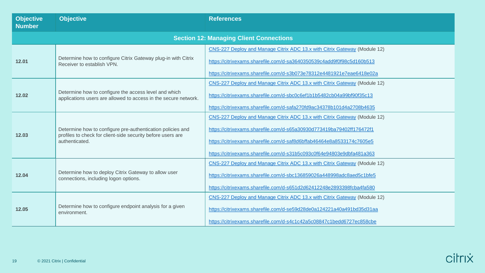| <b>Objective</b><br><b>Number</b>              | <b>Objective</b>                                                                                                                                                                                                                                                                                                             | <b>References</b>                                                                                                                                                                                                                                                                                    |  |  |  |
|------------------------------------------------|------------------------------------------------------------------------------------------------------------------------------------------------------------------------------------------------------------------------------------------------------------------------------------------------------------------------------|------------------------------------------------------------------------------------------------------------------------------------------------------------------------------------------------------------------------------------------------------------------------------------------------------|--|--|--|
| <b>Section 12: Managing Client Connections</b> |                                                                                                                                                                                                                                                                                                                              |                                                                                                                                                                                                                                                                                                      |  |  |  |
| 12.01                                          | Determine how to configure Citrix Gateway plug-in with Citrix<br>Receiver to establish VPN.                                                                                                                                                                                                                                  | CNS-227 Deploy and Manage Citrix ADC 13.x with Citrix Gateway (Module 12)<br>https://citrixexams.sharefile.com/d-sa3640350539c4add9f0f98c5d160b513<br>https://citrixexams.sharefile.com/d-s3b073e78312e4481921e7eae6418e02a                                                                          |  |  |  |
| 12.02                                          | Determine how to configure the access level and which<br>applications users are allowed to access in the secure network.                                                                                                                                                                                                     | CNS-227 Deploy and Manage Citrix ADC 13.x with Citrix Gateway (Module 12)<br>https://citrixexams.sharefile.com/d-sbc0c6ef1b1b5482cb04a99bf90f35c13<br>https://citrixexams.sharefile.com/d-safa270fd9ac34378b101d4a2708b4635                                                                          |  |  |  |
| 12.03                                          | Determine how to configure pre-authentication policies and<br>profiles to check for client-side security before users are<br>authenticated.                                                                                                                                                                                  | CNS-227 Deploy and Manage Citrix ADC 13.x with Citrix Gateway (Module 12)<br>https://citrixexams.sharefile.com/d-s65a30930d773419ba79402ff176472f1<br>https://citrixexams.sharefile.com/d-saf8d6bffab46464e8a8533174c7605e5<br>https://citrixexams.sharefile.com/d-s31b5c093c0f64e94803e9dbfa481a363 |  |  |  |
| 12.04                                          | CNS-227 Deploy and Manage Citrix ADC 13.x with Citrix Gateway (Module 12)<br>Determine how to deploy Citrix Gateway to allow user<br>https://citrixexams.sharefile.com/d-sbc136859026a448998adc8aed5c1bfe5<br>connections, including logon options.<br>https://citrixexams.sharefile.com/d-s651d2d62412248e2893398fcba4fa580 |                                                                                                                                                                                                                                                                                                      |  |  |  |
| 12.05                                          | Determine how to configure endpoint analysis for a given<br>environment.                                                                                                                                                                                                                                                     | CNS-227 Deploy and Manage Citrix ADC 13.x with Citrix Gateway (Module 12)<br>https://citrixexams.sharefile.com/d-se59d28de0a124221a40a491bd35d31aa<br>https://citrixexams.sharefile.com/d-s4c1c42a5c08847c1bedd6727ec858cbe                                                                          |  |  |  |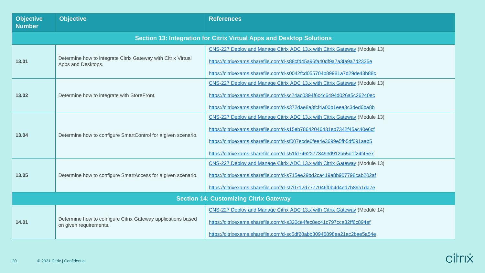| <b>Objective</b><br><b>Number</b>                                            | <b>Objective</b>                                                                       | <b>References</b>                                                                                                                                                                                                                                                                                    |  |  |
|------------------------------------------------------------------------------|----------------------------------------------------------------------------------------|------------------------------------------------------------------------------------------------------------------------------------------------------------------------------------------------------------------------------------------------------------------------------------------------------|--|--|
| <b>Section 13: Integration for Citrix Virtual Apps and Desktop Solutions</b> |                                                                                        |                                                                                                                                                                                                                                                                                                      |  |  |
| 13.01                                                                        | Determine how to integrate Citrix Gateway with Citrix Virtual<br>Apps and Desktops.    | CNS-227 Deploy and Manage Citrix ADC 13.x with Citrix Gateway (Module 13)<br>https://citrixexams.sharefile.com/d-s88cfd45a96fa40df9a7a3fa9a7d2335e<br>https://citrixexams.sharefile.com/d-s0042fcd055704b89981a7d29de43b88c                                                                          |  |  |
| 13.02                                                                        | Determine how to integrate with StoreFront.                                            | CNS-227 Deploy and Manage Citrix ADC 13.x with Citrix Gateway (Module 13)<br>https://citrixexams.sharefile.com/d-sc24ac0394f6c4c6494d026a5c26240ec<br>https://citrixexams.sharefile.com/d-s372dae8a3fcf4a00b1eea3c3ded6ba8b                                                                          |  |  |
| 13.04                                                                        | Determine how to configure SmartControl for a given scenario.                          | CNS-227 Deploy and Manage Citrix ADC 13.x with Citrix Gateway (Module 13)<br>https://citrixexams.sharefile.com/d-s15eb78642046431eb7342f45ac40e6cf<br>https://citrixexams.sharefile.com/d-sf007ecde6fee4e3699e5fb5df091aab5<br>https://citrixexams.sharefile.com/d-s51fd74622773493d912b55d1f24f45e7 |  |  |
| 13.05                                                                        | Determine how to configure SmartAccess for a given scenario.                           | CNS-227 Deploy and Manage Citrix ADC 13.x with Citrix Gateway (Module 13)<br>https://citrixexams.sharefile.com/d-s715ee29bd2ca419a8b907798cab202af<br>https://citrixexams.sharefile.com/d-sf70712d7777046f0b4d4ed7b89a1da7e                                                                          |  |  |
| <b>Section 14: Customizing Citrix Gateway</b>                                |                                                                                        |                                                                                                                                                                                                                                                                                                      |  |  |
| 14.01                                                                        | Determine how to configure Citrix Gateway applications based<br>on given requirements. | CNS-227 Deploy and Manage Citrix ADC 13.x with Citrix Gateway (Module 14)<br>https://citrixexams.sharefile.com/d-s320ce4fec8ec41c797cca32ff6c894ef<br>https://citrixexams.sharefile.com/d-sc5df28abb30946898ea21ac2bae5a54e                                                                          |  |  |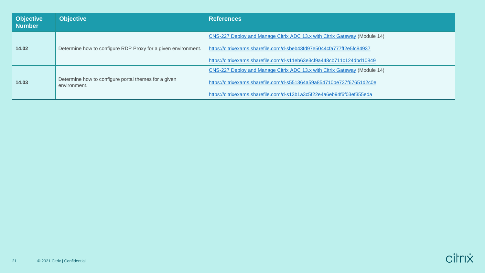| <b>Objective</b><br><b>Number</b> | <b>Objective</b>                                                     | <b>References</b>                                                                                                                                  |  |
|-----------------------------------|----------------------------------------------------------------------|----------------------------------------------------------------------------------------------------------------------------------------------------|--|
| 14.02                             | Determine how to configure RDP Proxy for a given environment.        | CNS-227 Deploy and Manage Citrix ADC 13.x with Citrix Gateway (Module 14)<br>https://citrixexams.sharefile.com/d-sbeb43fd97e5044cfa777ff2e5fc84937 |  |
|                                   |                                                                      | https://citrixexams.sharefile.com/d-s11eb63e3cf9a448cb711c124dbd10849                                                                              |  |
| 14.03                             | Determine how to configure portal themes for a given<br>environment. | CNS-227 Deploy and Manage Citrix ADC 13.x with Citrix Gateway (Module 14)                                                                          |  |
|                                   |                                                                      | https://citrixexams.sharefile.com/d-s551364a59a854710be737f67651d2c0e                                                                              |  |
|                                   |                                                                      | https://citrixexams.sharefile.com/d-s13b1a3c5f22e4a6eb94f6f03ef355eda                                                                              |  |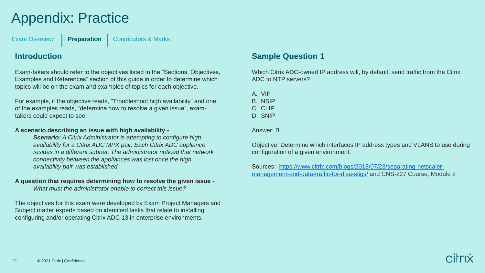# <span id="page-21-0"></span>Appendix: Practice

[Exam Overview](#page-3-0) **[Preparation](#page-5-0)** [Contributors & Marks](#page-24-0)

### **Introduction**

Exam-takers should refer to the objectives listed in the "Sections, Objectives, Examples and References" section of this guide in order to determine which topics will be on the exam and examples of topics for each objective.

For example, if the objective reads, "Troubleshoot high availability" and one of the examples reads, "determine how to resolve a given issue", examtakers could expect to see:

#### **A scenario describing an issue with high availability -**

*Scenario: A Citrix Administrator is attempting to configure high availability for a Citrix ADC MPX pair. Each Citrix ADC appliance resides in a different subnet. The administrator noticed that network connectivity between the appliances was lost once the high availability pair was established.*

#### **A question that requires determining how to resolve the given issue -**

*What must the administrator enable to correct this issue?* 

The objectives for this exam were developed by Exam Project Managers and Subject matter experts based on identified tasks that relate to installing, configuring and/or operating Citrix ADC 13 in enterprise environments.

### **Sample Question 1**

Which Citrix ADC-owned IP address will, by default, send traffic from the Citrix ADC to NTP servers?

A. VIP

B. NSIP

C. CLIP

D. SNIP

Answer: B

Objective: Determine which interfaces IP address types and VLANS to use during configuration of a given environment.

[Sources: https://www.citrix.com/blogs/2018/07/23/separating-netscaler](https://www.citrix.com/blogs/2018/07/23/separating-netscaler-management-and-data-traffic-for-disa-stigs/)management-and-data-traffic-for-disa-stigs/ and CNS-227 Course, Module 2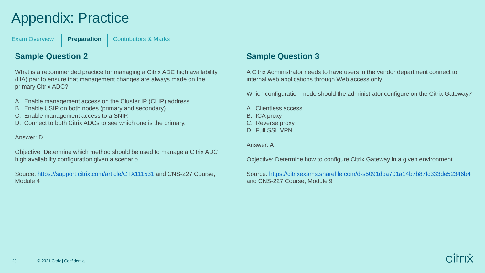# Appendix: Practice

[Exam Overview](#page-3-0) **[Preparation](#page-5-0)** | [Contributors & Marks](#page-24-0)

### **Sample Question 2**

What is a recommended practice for managing a Citrix ADC high availability (HA) pair to ensure that management changes are always made on the primary Citrix ADC?

- A. Enable management access on the Cluster IP (CLIP) address.
- B. Enable USIP on both nodes (primary and secondary).
- C. Enable management access to a SNIP.
- D. Connect to both Citrix ADCs to see which one is the primary.

Answer: D

Objective: Determine which method should be used to manage a Citrix ADC high availability configuration given a scenario.

Source:<https://support.citrix.com/article/CTX111531> and CNS-227 Course, Module 4

### **Sample Question 3**

A Citrix Administrator needs to have users in the vendor department connect to internal web applications through Web access only.

Which configuration mode should the administrator configure on the Citrix Gateway?

- A. Clientless access
- B. ICA proxy
- C. Reverse proxy
- D. Full SSL VPN

Answer: A

Objective: Determine how to configure Citrix Gateway in a given environment.

Source: <https://citrixexams.sharefile.com/d-s5091dba701a14b7b87fc333de52346b4> and CNS-227 Course, Module 9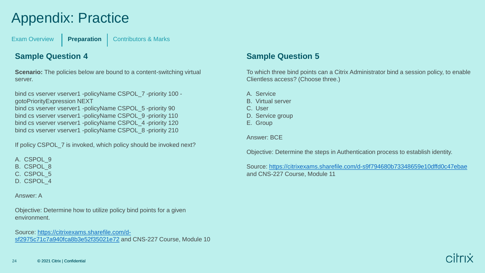# Appendix: Practice

[Exam Overview](#page-3-0) **[Preparation](#page-5-0)** | [Contributors & Marks](#page-24-0)

### **Sample Question 4**

**Scenario:** The policies below are bound to a content-switching virtual server.

bind cs vserver vserver1 -policyName CSPOL\_7 -priority 100 gotoPriorityExpression NEXT bind cs vserver vserver1 -policyName CSPOL 5 -priority 90 bind cs vserver vserver1 -policyName CSPOL\_9 -priority 110 bind cs vserver vserver1 -policyName CSPOL 4 -priority 120 bind cs vserver vserver1 -policyName CSPOL\_8 -priority 210

If policy CSPOL 7 is invoked, which policy should be invoked next?

A. CSPOL 9

B. CSPOL\_8

C. CSPOL\_5

D. CSPOL\_4

Answer: A

Objective: Determine how to utilize policy bind points for a given environment.

[Source: https://citrixexams.sharefile.com/d](https://citrixexams.sharefile.com/d-sf2975c71c7a940fca8b3e52f35021e72)sf2975c71c7a940fca8b3e52f35021e72 and CNS-227 Course, Module 10

### **Sample Question 5**

To which three bind points can a Citrix Administrator bind a session policy, to enable Clientless access? (Choose three.)

- A. Service
- B. Virtual server
- C. User
- D. Service group
- E. Group

Answer: BCE

Objective: Determine the steps in Authentication process to establish identity.

Source: <https://citrixexams.sharefile.com/d-s9f794680b73348659e10dffd0c47ebae> and CNS-227 Course, Module 11

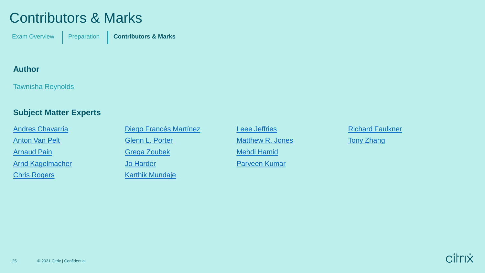## <span id="page-24-0"></span>Contributors & Marks

[Exam Overview](#page-3-0) | [Preparation](#page-5-0) | **[Contributors & Marks](#page-24-0)** 

### **Author**

Tawnisha Reynolds

### **Subject Matter Experts**

[Andres Chavarria](: https:/www.linkedin.com/in/andres-chavarria-66102711a/) [Anton Van Pelt](https://nl.linkedin.com/in/antonvanpelt) **[Arnaud Pain](https://www.linkedin.com/in/arnaudpain/)** [Arnd Kagelmacher](http://www.linkedin.com/in/akagelmacher) [Chris Rogers](https://www.linkedin.com/in/chris-rogers-696557/)

[Diego Francés Martínez](https://es.linkedin.com/in/diego-frances-46419639) [Glenn L. Porter](https://www.linkedin.com/in/glenn-porter-b471aa3/) [Grega Zoubek](https://www.linkedin.com/in/grega-zoubek/) [Jo Harder](https://www.linkedin.com/in/joharder/)

[Karthik Mundaje](https://www.linkedin.com/in/karthik-mundaje-674a1256)

[Leee Jeffries](https://www.linkedin.com/in/leee-jeffries-0021752a/) Matthew R. Jones [Mehdi Hamid](http://www.linkedin.com/in/mehdi-hamid-7427245) [Parveen Kumar](https://www.linkedin.com/in/citrixcertifiedinstructor1/)

[Richard Faulkner](https://www.linkedin.com/in/richardfaulknerjr/) **[Tony Zhang](https://www.linkedin.com/in/zhangt71/)**